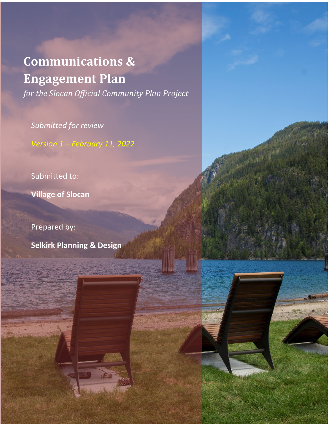# **Communications & Engagement Plan**

*for the Slocan Official Community Plan Project*

*Submitted for review*

*Version 1 – February 11, 2022*

Submitted to:

**Village of Slocan**

Prepared by:

**Selkirk Planning & Design**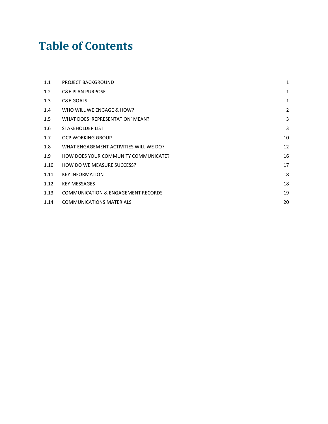# **Table of Contents**

| 1.1  | PROJECT BACKGROUND                            | 1              |
|------|-----------------------------------------------|----------------|
| 1.2  | <b>C&amp;E PLAN PURPOSE</b>                   | $\mathbf{1}$   |
| 1.3  | C&E GOALS                                     | $\mathbf{1}$   |
| 1.4  | WHO WILL WE ENGAGE & HOW?                     | $\overline{2}$ |
| 1.5  | WHAT DOES 'REPRESENTATION' MEAN?              | 3              |
| 1.6  | <b>STAKEHOLDER LIST</b>                       | 3              |
| 1.7  | OCP WORKING GROUP                             | 10             |
| 1.8  | WHAT ENGAGEMENT ACTIVITIES WILL WE DO?        | 12             |
| 1.9  | HOW DOES YOUR COMMUNITY COMMUNICATE?          | 16             |
| 1.10 | HOW DO WE MEASURE SUCCESS?                    | 17             |
| 1.11 | <b>KEY INFORMATION</b>                        | 18             |
| 1.12 | <b>KEY MESSAGES</b>                           | 18             |
| 1.13 | <b>COMMUNICATION &amp; ENGAGEMENT RECORDS</b> | 19             |
| 1.14 | <b>COMMUNICATIONS MATERIALS</b>               | 20             |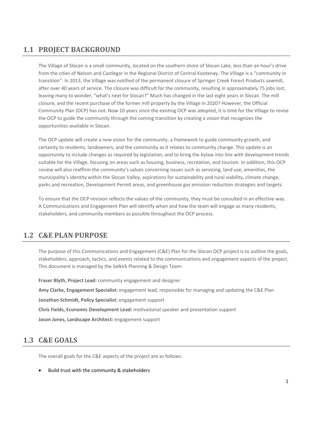# <span id="page-6-0"></span>**1.1 PROJECT BACKGROUND**

The Village of Slocan is a small community, located on the southern shore of Slocan Lake, less than an hour's drive from the cities of Nelson and Castlegar in the Regional District of Central Kootenay. The Village is a "community in transition". In 2013, the Village was notified of the permanent closure of Springer Creek Forest Products sawmill, after over 40 years of service. The closure was difficult for the community, resulting in approximately 75 jobs lost, leaving many to wonder, "what's next for Slocan?" Much has changed in the last eight years in Slocan. The mill closure, and the recent purchase of the former mill property by the Village in 2020? However, the Official Community Plan (OCP) has not. Now 10 years since the existing OCP was adopted, it is time for the Village to revise the OCP to guide the community through the coming transition by creating a vision that recognizes the opportunities available in Slocan.

The OCP update will create a new vision for the community, a framework to guide community growth, and certainty to residents, landowners, and the community as it relates to community change. This update is an opportunity to include changes as required by legislation, and to bring the bylaw into line with development trends suitable for the Village, focusing on areas such as housing, business, recreation, and tourism. In addition, this OCP review will also reaffirm the community's values concerning issues such as servicing, land use, amenities, the municipality's identity within the Slocan Valley, aspirations for sustainability and rural viability, climate change, parks and recreation, Development Permit areas, and greenhouse gas emission reduction strategies and targets.

To ensure that the OCP revision reflects the values of the community, they must be consulted in an effective way. A Communications and Engagement Plan will identify when and how the team will engage as many residents, stakeholders, and community members as possible throughout the OCP process.

#### <span id="page-6-1"></span>**1.2 C&E PLAN PURPOSE**

The purpose of this Communications and Engagement (C&E) Plan for the Slocan OCP project is to outline the goals, stakeholders, approach, tactics, and events related to the communications and engagement aspects of the project. This document is managed by the Selkirk Planning & Design Team:

**Fraser Blyth, Project Lead:** community engagement and designer **Amy Clarke, Engagement Specialist:** engagement lead, responsible for managing and updating the C&E Plan **Jonathan Schmidt, Policy Specialist:** engagement support **Chris Fields, Economic Development Lead:** motivational speaker and presentation support **Jason Jones, Landscape Architect:** engagement support

#### <span id="page-6-2"></span>**1.3 C&E GOALS**

The overall goals for the C&E aspects of the project are as follows:

• Build trust with the community & stakeholders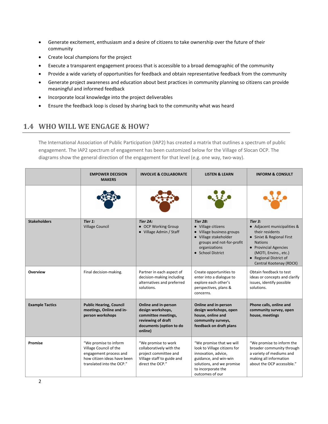- Generate excitement, enthusiasm and a desire of citizens to take ownership over the future of their community
- Create local champions for the project
- Execute a transparent engagement process that is accessible to a broad demographic of the community
- Provide a wide variety of opportunities for feedback and obtain representative feedback from the community
- Generate project awareness and education about best practices in community planning so citizens can provide meaningful and informed feedback
- Incorporate local knowledge into the project deliverables
- <span id="page-7-0"></span>• Ensure the feedback loop is closed by sharing back to the community what was heard

# **1.4 WHO WILL WE ENGAGE & HOW?**

The International Association of Public Participation (IAP2) has created a matrix that outlines a spectrum of public engagement. The IAP2 spectrum of engagement has been customized below for the Village of Slocan OCP. The diagrams show the general direction of the engagement for that level (e.g. one way, two-way).

|                        | <b>EMPOWER DECISION</b><br><b>MAKERS</b>                                                                                              | <b>INVOLVE &amp; COLLABORATE</b>                                                                                             | <b>LISTEN &amp; LEARN</b>                                                                                                                                                      | <b>INFORM &amp; CONSULT</b>                                                                                                                                                                                     |
|------------------------|---------------------------------------------------------------------------------------------------------------------------------------|------------------------------------------------------------------------------------------------------------------------------|--------------------------------------------------------------------------------------------------------------------------------------------------------------------------------|-----------------------------------------------------------------------------------------------------------------------------------------------------------------------------------------------------------------|
|                        |                                                                                                                                       |                                                                                                                              |                                                                                                                                                                                |                                                                                                                                                                                                                 |
| <b>Stakeholders</b>    | Tier 1:<br><b>Village Council</b>                                                                                                     | Tier 2A:<br>• OCP Working Group<br>• Village Admin / Staff                                                                   | Tier 2B:<br>• Village citizens<br>• Village business groups<br>• Village stakeholder<br>groups and not-for-profit<br>organizations<br>• School District                        | Tier 3:<br>• Adjacent municipalities &<br>their residents<br>• Sinixt & Regional First<br><b>Nations</b><br>• Provincial Agencies<br>(MOTI, Enviro., etc.)<br>• Regional District of<br>Central Kootenay (RDCK) |
| <b>Overview</b>        | Final decision-making.                                                                                                                | Partner in each aspect of<br>decision-making including<br>alternatives and preferred<br>solutions.                           | Create opportunities to<br>enter into a dialogue to<br>explore each other's<br>perspectives, plans &<br>concerns.                                                              | Obtain feedback to test<br>ideas or concepts and clarify<br>issues, identify possible<br>solutions.                                                                                                             |
| <b>Example Tactics</b> | <b>Public Hearing, Council</b><br>meetings, Online and in-<br>person workshops                                                        | Online and in-person<br>design workshops,<br>committee meetings,<br>reviewing of draft<br>documents (option to do<br>online) | Online and in-person<br>design workshops, open<br>house, online and<br>community surveys,<br>feedback on draft plans                                                           | Phone calls, online and<br>community survey, open<br>house, meetings                                                                                                                                            |
| Promise                | "We promise to inform<br>Village Council of the<br>engagement process and<br>how citizen ideas have been<br>translated into the OCP." | "We promise to work<br>collaboratively with the<br>project committee and<br>Village staff to guide and<br>direct the OCP."   | "We promise that we will<br>look to Village citizens for<br>innovation, advice,<br>guidance, and win-win<br>solutions, and we promise<br>to incorporate the<br>outcomes of our | "We promise to inform the<br>broader community through<br>a variety of mediums and<br>making all information<br>about the OCP accessible."                                                                      |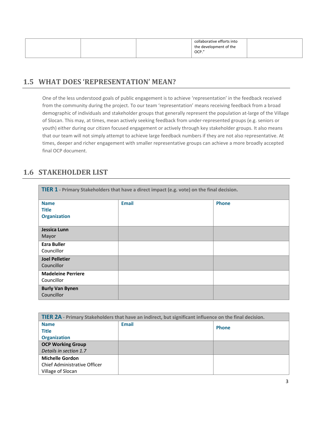|  |  |  | collaborative efforts into<br>the development of the<br>$COCP.$ " |  |
|--|--|--|-------------------------------------------------------------------|--|
|--|--|--|-------------------------------------------------------------------|--|

#### <span id="page-8-0"></span>**1.5 WHAT DOES 'REPRESENTATION' MEAN?**

One of the less understood goals of public engagement is to achieve 'representation' in the feedback received from the community during the project. To our team 'representation' means receiving feedback from a broad demographic of individuals and stakeholder groups that generally represent the population at-large of the Village of Slocan. This may, at times, mean actively seeking feedback from under-represented groups (e.g. seniors or youth) either during our citizen focused engagement or actively through key stakeholder groups. It also means that our team will not simply attempt to achieve large feedback numbers if they are not also representative. At times, deeper and richer engagement with smaller representative groups can achieve a more broadly accepted final OCP document.

#### <span id="page-8-1"></span>**1.6 STAKEHOLDER LIST**

| TIER 1 - Primary Stakeholders that have a direct impact (e.g. vote) on the final decision. |              |              |  |  |  |
|--------------------------------------------------------------------------------------------|--------------|--------------|--|--|--|
| <b>Name</b><br><b>Title</b>                                                                | <b>Email</b> | <b>Phone</b> |  |  |  |
| <b>Organization</b>                                                                        |              |              |  |  |  |
| Jessica Lunn                                                                               |              |              |  |  |  |
| Mayor                                                                                      |              |              |  |  |  |
| <b>Ezra Buller</b><br>Councillor                                                           |              |              |  |  |  |
| <b>Joel Pelletier</b>                                                                      |              |              |  |  |  |
| Councillor                                                                                 |              |              |  |  |  |
| <b>Madeleine Perriere</b>                                                                  |              |              |  |  |  |
| Councillor                                                                                 |              |              |  |  |  |
| <b>Burly Van Bynen</b><br>Councillor                                                       |              |              |  |  |  |

| TIER 2A - Primary Stakeholders that have an indirect, but significant influence on the final decision. |              |              |  |  |
|--------------------------------------------------------------------------------------------------------|--------------|--------------|--|--|
| <b>Name</b>                                                                                            | <b>Email</b> | <b>Phone</b> |  |  |
| <b>Title</b>                                                                                           |              |              |  |  |
| <b>Organization</b>                                                                                    |              |              |  |  |
| <b>OCP Working Group</b>                                                                               |              |              |  |  |
| Details in section 1.7                                                                                 |              |              |  |  |
| <b>Michelle Gordon</b>                                                                                 |              |              |  |  |
| Chief Administrative Officer                                                                           |              |              |  |  |
| Village of Slocan                                                                                      |              |              |  |  |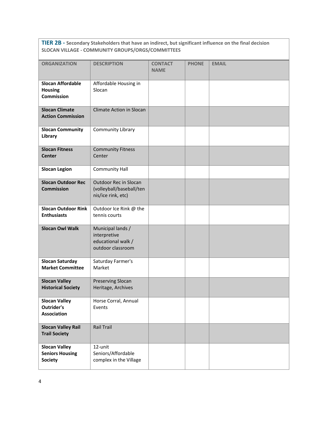**TIER 2B - Secondary Stakeholders that have an indirect, but significant influence on the final decision SLOCAN VILLAGE - COMMUNITY GROUPS/ORGS/COMMITTEES**

| <b>ORGANIZATION</b>                                              | <b>DESCRIPTION</b>                                                           | <b>CONTACT</b><br><b>NAME</b> | <b>PHONE</b> | <b>EMAIL</b> |
|------------------------------------------------------------------|------------------------------------------------------------------------------|-------------------------------|--------------|--------------|
| <b>Slocan Affordable</b><br><b>Housing</b><br><b>Commission</b>  | Affordable Housing in<br>Slocan                                              |                               |              |              |
| <b>Slocan Climate</b><br><b>Action Commission</b>                | <b>Climate Action in Slocan</b>                                              |                               |              |              |
| <b>Slocan Community</b><br>Library                               | <b>Community Library</b>                                                     |                               |              |              |
| <b>Slocan Fitness</b><br><b>Center</b>                           | <b>Community Fitness</b><br>Center                                           |                               |              |              |
| <b>Slocan Legion</b>                                             | <b>Community Hall</b>                                                        |                               |              |              |
| <b>Slocan Outdoor Rec</b><br><b>Commission</b>                   | Outdoor Rec in Slocan<br>(volleyball/baseball/ten<br>nis/ice rink, etc)      |                               |              |              |
| <b>Slocan Outdoor Rink</b><br><b>Enthusiasts</b>                 | Outdoor Ice Rink @ the<br>tennis courts                                      |                               |              |              |
| <b>Slocan Owl Walk</b>                                           | Municipal lands /<br>interpretive<br>educational walk /<br>outdoor classroom |                               |              |              |
| <b>Slocan Saturday</b><br><b>Market Committee</b>                | Saturday Farmer's<br>Market                                                  |                               |              |              |
| <b>Slocan Valley</b><br><b>Historical Society</b>                | Preserving Slocan<br>Heritage, Archives                                      |                               |              |              |
| <b>Slocan Valley</b><br>Outrider's<br><b>Association</b>         | Horse Corral, Annual<br>Events                                               |                               |              |              |
| <b>Slocan Valley Rail</b><br><b>Trail Society</b>                | <b>Rail Trail</b>                                                            |                               |              |              |
| <b>Slocan Valley</b><br><b>Seniors Housing</b><br><b>Society</b> | 12-unit<br>Seniors/Affordable<br>complex in the Village                      |                               |              |              |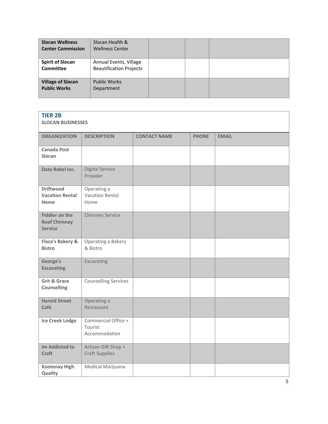| <b>Slocan Wellness</b><br><b>Center Commission</b> | Slocan Health &<br><b>Wellness Center</b>                |  |  |
|----------------------------------------------------|----------------------------------------------------------|--|--|
| <b>Spirit of Slocan</b><br><b>Committee</b>        | Annual Events, Village<br><b>Beautification Projects</b> |  |  |
| <b>Village of Slocan</b><br><b>Public Works</b>    | <b>Public Works</b><br>Department                        |  |  |

| <b>TIER 2B</b><br><b>SLOCAN BUSINESSES</b>                     |                                                 |                     |              |              |
|----------------------------------------------------------------|-------------------------------------------------|---------------------|--------------|--------------|
| <b>ORGANIZATION</b>                                            | <b>DESCRIPTION</b>                              | <b>CONTACT NAME</b> | <b>PHONE</b> | <b>EMAIL</b> |
| <b>Canada Post</b><br>Slocan                                   |                                                 |                     |              |              |
| Data Rebel Inc.                                                | <b>Digital Service</b><br>Provider              |                     |              |              |
| <b>Driftwood</b><br><b>Vacation Rental</b><br>Home             | Operating a<br><b>Vacation Rental</b><br>Home   |                     |              |              |
| <b>Fiddler on the</b><br><b>Roof Chimney</b><br><b>Service</b> | <b>Chimney Service</b>                          |                     |              |              |
| Flaca's Bakery &<br><b>Bistro</b>                              | Operating a Bakery<br>& Bistro                  |                     |              |              |
| George's<br><b>Excavating</b>                                  | Excavating                                      |                     |              |              |
| <b>Grit &amp; Grace</b><br>Counselling                         | <b>Counselling Services</b>                     |                     |              |              |
| <b>Harold Street</b><br>Café                                   | Operating a<br>Restaurant                       |                     |              |              |
| <b>Ice Creek Lodge</b>                                         | Commercial Office +<br>Tourist<br>Accommodation |                     |              |              |
| <b>Im Addicted to</b><br><b>Craft</b>                          | Artisan Gift Shop +<br><b>Craft Supplies</b>    |                     |              |              |
| <b>Kootenay High</b><br>Quality                                | Medical Marijuana                               |                     |              |              |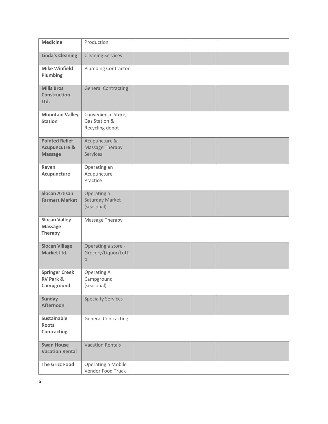| <b>Medicine</b>                                                     | Production                                             |  |  |
|---------------------------------------------------------------------|--------------------------------------------------------|--|--|
| <b>Linda's Cleaning</b>                                             | <b>Cleaning Services</b>                               |  |  |
| <b>Mike Winfield</b><br>Plumbing                                    | Plumbing Contractor                                    |  |  |
| <b>Mills Bros</b><br><b>Construction</b><br>Ltd.                    | <b>General Contracting</b>                             |  |  |
| <b>Mountain Valley</b><br><b>Station</b>                            | Convenience Store,<br>Gas Station &<br>Recycling depot |  |  |
| <b>Pointed Relief</b><br><b>Acupuncutre &amp;</b><br><b>Massage</b> | Acupuncture &<br>Massage Therapy<br><b>Services</b>    |  |  |
| Raven<br>Acupuncture                                                | Operating an<br>Acupuncture<br>Practice                |  |  |
| <b>Slocan Artisan</b><br><b>Farmers Market</b>                      | Operating a<br>Saturday Market<br>(seasonal)           |  |  |
| <b>Slocan Valley</b><br><b>Massage</b><br><b>Therapy</b>            | Massage Therapy                                        |  |  |
| <b>Slocan Village</b><br>Market Ltd.                                | Operating a store -<br>Grocery/Liquor/Lott<br>$\circ$  |  |  |
| <b>Springer Creek</b><br><b>RV Park &amp;</b><br>Campground         | Operating A<br>Campground<br>(seasonal)                |  |  |
| <b>Sunday</b><br><b>Afternoon</b>                                   | <b>Specialty Services</b>                              |  |  |
| Sustainable<br><b>Roots</b><br>Contracting                          | <b>General Contracting</b>                             |  |  |
| <b>Swan House</b><br><b>Vacation Rental</b>                         | <b>Vacation Rentals</b>                                |  |  |
| <b>The Grizz Food</b>                                               | Operating a Mobile<br>Vendor Food Truck                |  |  |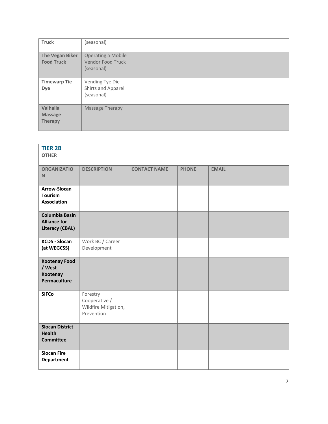| <b>Truck</b>                                 | (seasonal)                                                          |  |  |
|----------------------------------------------|---------------------------------------------------------------------|--|--|
| The Vegan Biker<br><b>Food Truck</b>         | <b>Operating a Mobile</b><br><b>Vendor Food Truck</b><br>(seasonal) |  |  |
| <b>Timewarp Tie</b><br>Dye                   | Vending Tye Die<br>Shirts and Apparel<br>(seasonal)                 |  |  |
| Valhalla<br><b>Massage</b><br><b>Therapy</b> | Massage Therapy                                                     |  |  |

| <b>TIER 2B</b><br><b>OTHER</b>                                         |                                                                 |                     |              |              |
|------------------------------------------------------------------------|-----------------------------------------------------------------|---------------------|--------------|--------------|
| <b>ORGANIZATIO</b><br>N                                                | <b>DESCRIPTION</b>                                              | <b>CONTACT NAME</b> | <b>PHONE</b> | <b>EMAIL</b> |
| Arrow-Slocan<br>Tourism<br><b>Association</b>                          |                                                                 |                     |              |              |
| <b>Columbia Basin</b><br><b>Alliance for</b><br><b>Literacy (CBAL)</b> |                                                                 |                     |              |              |
| <b>KCDS - Slocan</b><br>(at WEGCSS)                                    | Work BC / Career<br>Development                                 |                     |              |              |
| <b>Kootenay Food</b><br>/ West<br>Kootenay<br>Permaculture             |                                                                 |                     |              |              |
| <b>SIFCo</b>                                                           | Forestry<br>Cooperative /<br>Wildfire Mitigation,<br>Prevention |                     |              |              |
| <b>Slocan District</b><br><b>Health</b><br><b>Committee</b>            |                                                                 |                     |              |              |
| <b>Slocan Fire</b><br><b>Department</b>                                |                                                                 |                     |              |              |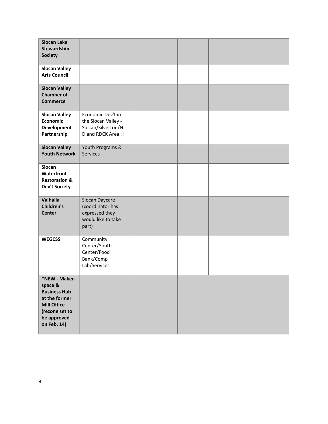| <b>Slocan Lake</b><br>Stewardship<br><b>Society</b>                                                                                    |                                                                                     |  |  |
|----------------------------------------------------------------------------------------------------------------------------------------|-------------------------------------------------------------------------------------|--|--|
| <b>Slocan Valley</b><br><b>Arts Council</b>                                                                                            |                                                                                     |  |  |
| <b>Slocan Valley</b><br><b>Chamber of</b><br><b>Commerce</b>                                                                           |                                                                                     |  |  |
| <b>Slocan Valley</b><br>Economic<br><b>Development</b><br>Partnership                                                                  | Economic Dev't in<br>the Slocan Valley -<br>Slocan/Silverton/N<br>D and RDCK Area H |  |  |
| <b>Slocan Valley</b><br><b>Youth Network</b>                                                                                           | Youth Programs &<br><b>Services</b>                                                 |  |  |
| Slocan<br>Waterfront<br><b>Restoration &amp;</b><br><b>Dev't Society</b>                                                               |                                                                                     |  |  |
| Valhalla<br><b>Children's</b><br><b>Center</b>                                                                                         | Slocan Daycare<br>(coordinator has<br>expressed they<br>would like to take<br>part) |  |  |
| <b>WEGCSS</b>                                                                                                                          | Community<br>Center/Youth<br>Center/Food<br>Bank/Comp<br>Lab/Services               |  |  |
| *NEW - Maker-<br>space &<br><b>Business Hub</b><br>at the former<br><b>Mill Office</b><br>(rezone set to<br>be approved<br>on Feb. 14) |                                                                                     |  |  |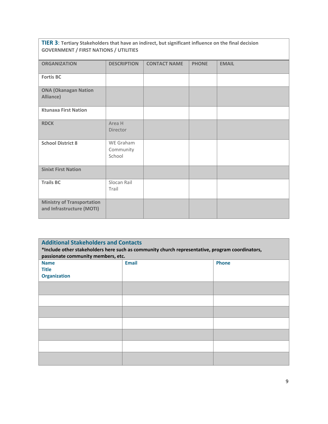| TIER 3: Tertiary Stakeholders that have an indirect, but significant influence on the final decision<br><b>GOVERNMENT / FIRST NATIONS / UTILITIES</b> |                                  |                     |              |              |  |
|-------------------------------------------------------------------------------------------------------------------------------------------------------|----------------------------------|---------------------|--------------|--------------|--|
| <b>ORGANIZATION</b>                                                                                                                                   | <b>DESCRIPTION</b>               | <b>CONTACT NAME</b> | <b>PHONE</b> | <b>EMAIL</b> |  |
| <b>Fortis BC</b>                                                                                                                                      |                                  |                     |              |              |  |
| <b>ONA (Okanagan Nation</b><br>Alliance)                                                                                                              |                                  |                     |              |              |  |
| <b>Ktunaxa First Nation</b>                                                                                                                           |                                  |                     |              |              |  |
| <b>RDCK</b>                                                                                                                                           | Area H<br><b>Director</b>        |                     |              |              |  |
| <b>School District 8</b>                                                                                                                              | WE Graham<br>Community<br>School |                     |              |              |  |
| <b>Sinixt First Nation</b>                                                                                                                            |                                  |                     |              |              |  |
| <b>Trails BC</b>                                                                                                                                      | Slocan Rail<br>Trail             |                     |              |              |  |
| <b>Ministry of Transportation</b><br>and Infrastructure (MOTI)                                                                                        |                                  |                     |              |              |  |

<span id="page-14-0"></span>

| <b>Additional Stakeholders and Contacts</b> |                                                                                                 |              |  |  |  |  |
|---------------------------------------------|-------------------------------------------------------------------------------------------------|--------------|--|--|--|--|
|                                             | *Include other stakeholders here such as community church representative, program coordinators, |              |  |  |  |  |
| passionate community members, etc.          |                                                                                                 |              |  |  |  |  |
| <b>Name</b>                                 | <b>Email</b>                                                                                    | <b>Phone</b> |  |  |  |  |
| <b>Title</b>                                |                                                                                                 |              |  |  |  |  |
| <b>Organization</b>                         |                                                                                                 |              |  |  |  |  |
|                                             |                                                                                                 |              |  |  |  |  |
|                                             |                                                                                                 |              |  |  |  |  |
|                                             |                                                                                                 |              |  |  |  |  |
|                                             |                                                                                                 |              |  |  |  |  |
|                                             |                                                                                                 |              |  |  |  |  |
|                                             |                                                                                                 |              |  |  |  |  |
|                                             |                                                                                                 |              |  |  |  |  |
|                                             |                                                                                                 |              |  |  |  |  |
|                                             |                                                                                                 |              |  |  |  |  |
|                                             |                                                                                                 |              |  |  |  |  |
|                                             |                                                                                                 |              |  |  |  |  |
|                                             |                                                                                                 |              |  |  |  |  |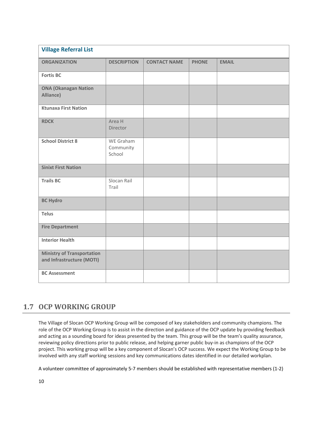| <b>Village Referral List</b>                                   |                                  |                     |              |              |
|----------------------------------------------------------------|----------------------------------|---------------------|--------------|--------------|
| <b>ORGANIZATION</b>                                            | <b>DESCRIPTION</b>               | <b>CONTACT NAME</b> | <b>PHONE</b> | <b>EMAIL</b> |
| <b>Fortis BC</b>                                               |                                  |                     |              |              |
| <b>ONA (Okanagan Nation</b><br>Alliance)                       |                                  |                     |              |              |
| <b>Ktunaxa First Nation</b>                                    |                                  |                     |              |              |
| <b>RDCK</b>                                                    | Area H<br>Director               |                     |              |              |
| <b>School District 8</b>                                       | WE Graham<br>Community<br>School |                     |              |              |
| <b>Sinixt First Nation</b>                                     |                                  |                     |              |              |
| <b>Trails BC</b>                                               | Slocan Rail<br>Trail             |                     |              |              |
| <b>BC Hydro</b>                                                |                                  |                     |              |              |
| <b>Telus</b>                                                   |                                  |                     |              |              |
| <b>Fire Department</b>                                         |                                  |                     |              |              |
| <b>Interior Health</b>                                         |                                  |                     |              |              |
| <b>Ministry of Transportation</b><br>and Infrastructure (MOTI) |                                  |                     |              |              |
| <b>BC Assessment</b>                                           |                                  |                     |              |              |

# **1.7 OCP WORKING GROUP**

The Village of Slocan OCP Working Group will be composed of key stakeholders and community champions. The role of the OCP Working Group is to assist in the direction and guidance of the OCP update by providing feedback and acting as a sounding board for ideas presented by the team. This group will be the team's quality assurance, reviewing policy directions prior to public release, and helping garner public buy-in as champions of the OCP project. This working group will be a key component of Slocan's OCP success. We expect the Working Group to be involved with any staff working sessions and key communications dates identified in our detailed workplan.

A volunteer committee of approximately 5-7 members should be established with representative members (1-2)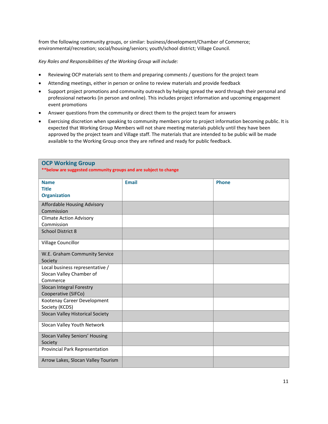from the following community groups, or similar: business/development/Chamber of Commerce; environmental/recreation; social/housing/seniors; youth/school district; Village Council.

*Key Roles and Responsibilities of the Working Group will include:*

- Reviewing OCP materials sent to them and preparing comments / questions for the project team
- Attending meetings, either in person or online to review materials and provide feedback
- Support project promotions and community outreach by helping spread the word through their personal and professional networks (in person and online). This includes project information and upcoming engagement event promotions
- Answer questions from the community or direct them to the project team for answers
- Exercising discretion when speaking to community members prior to project information becoming public. It is expected that Working Group Members will not share meeting materials publicly until they have been approved by the project team and Village staff. The materials that are intended to be public will be made available to the Working Group once they are refined and ready for public feedback.

| <b>OCP Working Group</b><br>** below are suggested community groups and are subject to change |              |              |
|-----------------------------------------------------------------------------------------------|--------------|--------------|
| <b>Name</b><br><b>Title</b><br><b>Organization</b>                                            | <b>Email</b> | <b>Phone</b> |
| Affordable Housing Advisory<br>Commission                                                     |              |              |
| <b>Climate Action Advisory</b><br>Commission                                                  |              |              |
| <b>School District 8</b>                                                                      |              |              |
| Village Councillor                                                                            |              |              |
| W.E. Graham Community Service<br>Society                                                      |              |              |
| Local business representative /<br>Slocan Valley Chamber of<br>Commerce                       |              |              |
| Slocan Integral Forestry<br>Cooperative (SIFCo)                                               |              |              |
| Kootenay Career Development<br>Society (KCDS)                                                 |              |              |
| Slocan Valley Historical Society                                                              |              |              |
| Slocan Valley Youth Network                                                                   |              |              |
| Slocan Valley Seniors' Housing<br>Society                                                     |              |              |
| Provincial Park Representation                                                                |              |              |
| Arrow Lakes, Slocan Valley Tourism                                                            |              |              |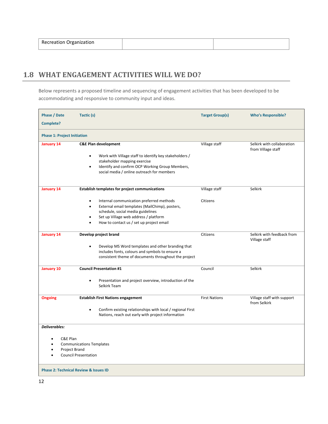| $\lambda$<br>Recreation f<br>.<br>ation |  |  |
|-----------------------------------------|--|--|
|-----------------------------------------|--|--|

# <span id="page-17-0"></span>**1.8 WHAT ENGAGEMENT ACTIVITIES WILL WE DO?**

Below represents a proposed timeline and sequencing of engagement activities that has been developed to be accommodating and responsive to community input and ideas.

| <b>Phase / Date</b><br>Complete?                                                                      | Tactic (s)                                                                                                                                                                                                                                                                         | <b>Target Group(s)</b>    | <b>Who's Responsible?</b>                        |
|-------------------------------------------------------------------------------------------------------|------------------------------------------------------------------------------------------------------------------------------------------------------------------------------------------------------------------------------------------------------------------------------------|---------------------------|--------------------------------------------------|
| <b>Phase 1: Project Initiation</b>                                                                    |                                                                                                                                                                                                                                                                                    |                           |                                                  |
| January 14                                                                                            | <b>C&amp;E Plan development</b><br>Work with Village staff to identify key stakeholders /<br>stakeholder mapping exercise<br>Identify and confirm OCP Working Group Members,<br>$\bullet$<br>social media / online outreach for members                                            | Village staff             | Selkirk with collaboration<br>from Village staff |
| January 14                                                                                            | <b>Establish templates for project communications</b><br>Internal communication preferred methods<br>٠<br>External email templates (MailChimp), posters,<br>schedule, social media guidelines<br>Set up Village web address / platform<br>How to contact us / set up project email | Village staff<br>Citizens | Selkirk                                          |
| January 14                                                                                            | Develop project brand<br>Develop MS Word templates and other branding that<br>$\bullet$<br>includes fonts, colours and symbols to ensure a<br>consistent theme of documents throughout the project                                                                                 | Citizens                  | Selkirk with feedback from<br>Village staff      |
| January 10                                                                                            | <b>Council Presentation #1</b><br>Presentation and project overview, introduction of the<br>$\bullet$<br>Selkirk Team                                                                                                                                                              | Council                   | Selkirk                                          |
| <b>Ongoing</b>                                                                                        | <b>Establish First Nations engagement</b><br>Confirm existing relationships with local / regional First<br>Nations, reach out early with project information                                                                                                                       | <b>First Nations</b>      | Village staff with support<br>from Selkirk       |
| <b>Deliverables:</b><br>C&E Plan<br>Project Brand<br><b>Phase 2: Technical Review &amp; Issues ID</b> | <b>Communications Templates</b><br><b>Council Presentation</b>                                                                                                                                                                                                                     |                           |                                                  |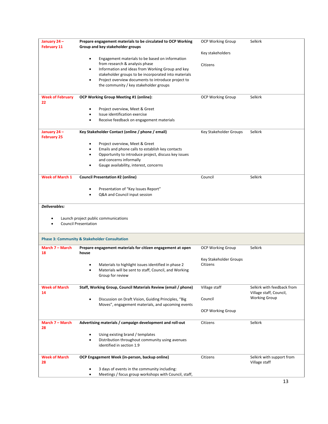| January 24-<br><b>February 11</b> | Prepare engagement materials to be circulated to OCP Working<br>Group and key stakeholder groups          | <b>OCP Working Group</b> | Selkirk                                               |
|-----------------------------------|-----------------------------------------------------------------------------------------------------------|--------------------------|-------------------------------------------------------|
|                                   |                                                                                                           | Key stakeholders         |                                                       |
|                                   | Engagement materials to be based on information                                                           |                          |                                                       |
|                                   | from research & analysis phase                                                                            | Citizens                 |                                                       |
|                                   | Information and ideas from Working Group and key                                                          |                          |                                                       |
|                                   | stakeholder groups to be incorporated into materials                                                      |                          |                                                       |
|                                   | Project overview documents to introduce project to                                                        |                          |                                                       |
|                                   | the community / key stakeholder groups                                                                    |                          |                                                       |
| <b>Week of February</b><br>22     | OCP Working Group Meeting #1 (online):                                                                    | <b>OCP Working Group</b> | Selkirk                                               |
|                                   | Project overview, Meet & Greet                                                                            |                          |                                                       |
|                                   | Issue identification exercise                                                                             |                          |                                                       |
|                                   | Receive feedback on engagement materials                                                                  |                          |                                                       |
| January 24-<br><b>February 25</b> | Key Stakeholder Contact (online / phone / email)                                                          | Key Stakeholder Groups   | Selkirk                                               |
|                                   | Project overview, Meet & Greet                                                                            |                          |                                                       |
|                                   | Emails and phone calls to establish key contacts                                                          |                          |                                                       |
|                                   | Opportunity to introduce project, discuss key issues                                                      |                          |                                                       |
|                                   | and concerns informally                                                                                   |                          |                                                       |
|                                   | Gauge availability, interest, concerns                                                                    |                          |                                                       |
| <b>Week of March 1</b>            | <b>Council Presentation #2 (online)</b>                                                                   | Council                  | <b>Selkirk</b>                                        |
|                                   |                                                                                                           |                          |                                                       |
|                                   | Presentation of "Key Issues Report"<br>Q&A and Council input session                                      |                          |                                                       |
|                                   |                                                                                                           |                          |                                                       |
| Deliverables:                     | Launch project public communications<br><b>Council Presentation</b>                                       |                          |                                                       |
|                                   | <b>Phase 3: Community &amp; Stakeholder Consultation</b>                                                  |                          |                                                       |
| March 7 - March<br>18             | Prepare engagement materials for citizen engagement at open<br>house                                      | <b>OCP Working Group</b> | Selkirk                                               |
|                                   |                                                                                                           | Key Stakeholder Groups   |                                                       |
|                                   | Materials to highlight issues identified in phase 2                                                       | Citizens                 |                                                       |
|                                   | Materials will be sent to staff, Council, and Working<br>Group for review                                 |                          |                                                       |
| <b>Week of March</b><br>14        | Staff, Working Group, Council Materials Review (email / phone)                                            | Village staff            | Selkirk with feedback from<br>Village staff, Council, |
|                                   | Discussion on Draft Vision, Guiding Principles, "Big<br>Moves", engagement materials, and upcoming events | Council                  | <b>Working Group</b>                                  |
|                                   |                                                                                                           | <b>OCP Working Group</b> |                                                       |
| March 7 - March<br>28             | Advertising materials / campaign development and roll-out                                                 | Citizens                 | <b>Selkirk</b>                                        |
|                                   | Using existing brand / templates                                                                          |                          |                                                       |
|                                   | Distribution throughout community using avenues<br>identified in section 1.9                              |                          |                                                       |
| <b>Week of March</b><br>28        | OCP Engagement Week (in-person, backup online)                                                            | Citizens                 | Selkirk with support from<br>Village staff            |
|                                   | 3 days of events in the community including:                                                              |                          |                                                       |
|                                   | Meetings / focus group workshops with Council, staff,                                                     |                          |                                                       |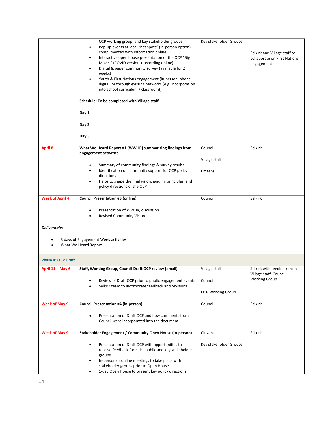|                           | OCP working group, and key stakeholder groups<br>Pop-up events at local "hot spots" (in-person option),<br>$\bullet$<br>complimented with information online<br>Interactive open house presentation of the OCP "Big<br>Moves" (COVID version + recording online)<br>Digital & paper community survey (available for 2<br>weeks)<br>Youth & First Nations engagement (in-person, phone,<br>digital, or through existing networks (e.g. incorporation<br>into school curriculum / classroom)) | Key stakeholder Groups   | Selkirk and Village staff to<br>collaborate on First Nations<br>engagement |
|---------------------------|---------------------------------------------------------------------------------------------------------------------------------------------------------------------------------------------------------------------------------------------------------------------------------------------------------------------------------------------------------------------------------------------------------------------------------------------------------------------------------------------|--------------------------|----------------------------------------------------------------------------|
|                           | Schedule: To be completed with Village staff                                                                                                                                                                                                                                                                                                                                                                                                                                                |                          |                                                                            |
|                           | Day 1                                                                                                                                                                                                                                                                                                                                                                                                                                                                                       |                          |                                                                            |
|                           | Day 2                                                                                                                                                                                                                                                                                                                                                                                                                                                                                       |                          |                                                                            |
|                           | Day 3                                                                                                                                                                                                                                                                                                                                                                                                                                                                                       |                          |                                                                            |
| <b>April 8</b>            | What We Heard Report #1 (WWHR) summarizing findings from<br>engagement activities                                                                                                                                                                                                                                                                                                                                                                                                           | Council                  | Selkirk                                                                    |
|                           |                                                                                                                                                                                                                                                                                                                                                                                                                                                                                             | Village staff            |                                                                            |
|                           | Summary of community findings & survey results<br>Identification of community support for OCP policy<br>directions                                                                                                                                                                                                                                                                                                                                                                          | Citizens                 |                                                                            |
|                           | Helps to shape the final vision, guiding principles, and<br>$\bullet$<br>policy directions of the OCP                                                                                                                                                                                                                                                                                                                                                                                       |                          |                                                                            |
| <b>Week of April 4</b>    | <b>Council Presentation #3 (online)</b>                                                                                                                                                                                                                                                                                                                                                                                                                                                     | Council                  | Selkirk                                                                    |
|                           | Presentation of WWHR, discussion<br><b>Revised Community Vision</b>                                                                                                                                                                                                                                                                                                                                                                                                                         |                          |                                                                            |
| <b>Deliverables:</b>      |                                                                                                                                                                                                                                                                                                                                                                                                                                                                                             |                          |                                                                            |
|                           | 3 days of Engagement Week activities<br>What We Heard Report                                                                                                                                                                                                                                                                                                                                                                                                                                |                          |                                                                            |
| <b>Phase 4: OCP Draft</b> |                                                                                                                                                                                                                                                                                                                                                                                                                                                                                             |                          |                                                                            |
| April 11 - May 6          | Staff, Working Group, Council Draft OCP review (email)                                                                                                                                                                                                                                                                                                                                                                                                                                      | Village staff            | Selkirk with feedback from<br>Village staff, Council,                      |
|                           | Review of Draft OCP prior to public engagement events<br>Selkirk team to incorporate feedback and revisions                                                                                                                                                                                                                                                                                                                                                                                 | Council                  | <b>Working Group</b>                                                       |
|                           |                                                                                                                                                                                                                                                                                                                                                                                                                                                                                             | <b>OCP Working Group</b> |                                                                            |
| <b>Week of May 9</b>      | <b>Council Presentation #4 (in-person)</b>                                                                                                                                                                                                                                                                                                                                                                                                                                                  | Council                  | <b>Selkirk</b>                                                             |
|                           | Presentation of Draft OCP and how comments from<br>Council were incorporated into the document                                                                                                                                                                                                                                                                                                                                                                                              |                          |                                                                            |
| <b>Week of May 9</b>      | Stakeholder Engagement / Community Open House (in-person)                                                                                                                                                                                                                                                                                                                                                                                                                                   | Citizens                 | Selkirk                                                                    |
|                           | Presentation of Draft OCP with opportunities to<br>receive feedback from the public and key stakeholder                                                                                                                                                                                                                                                                                                                                                                                     | Key stakeholder Groups   |                                                                            |
|                           | groups<br>In-person or online meetings to take place with<br>stakeholder groups prior to Open House                                                                                                                                                                                                                                                                                                                                                                                         |                          |                                                                            |
|                           | 1-day Open House to present key policy directions,                                                                                                                                                                                                                                                                                                                                                                                                                                          |                          |                                                                            |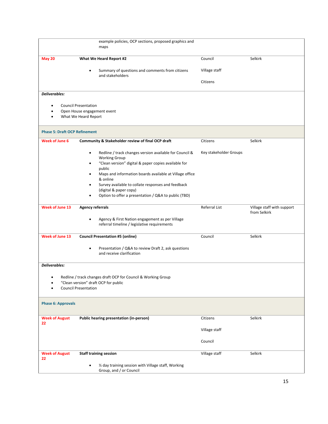|                                      | example policies, OCP sections, proposed graphics and<br>maps                                                                           |                        |                                            |
|--------------------------------------|-----------------------------------------------------------------------------------------------------------------------------------------|------------------------|--------------------------------------------|
| <b>May 20</b>                        | What We Heard Report #2                                                                                                                 | Council                | Selkirk                                    |
|                                      | Summary of questions and comments from citizens<br>and stakeholders                                                                     | Village staff          |                                            |
|                                      |                                                                                                                                         | Citizens               |                                            |
| Deliverables:                        |                                                                                                                                         |                        |                                            |
| ٠                                    | <b>Council Presentation</b>                                                                                                             |                        |                                            |
| ٠                                    | Open House engagement event<br>What We Heard Report                                                                                     |                        |                                            |
| <b>Phase 5: Draft OCP Refinement</b> |                                                                                                                                         |                        |                                            |
| <b>Week of June 6</b>                | Community & Stakeholder review of final OCP draft                                                                                       | Citizens               | Selkirk                                    |
|                                      | Redline / track changes version available for Council &<br><b>Working Group</b><br>"Clean version" digital & paper copies available for | Key stakeholder Groups |                                            |
|                                      | public<br>Maps and information boards available at Village office<br>& online                                                           |                        |                                            |
|                                      | Survey available to collate responses and feedback<br>(digital & paper copy)                                                            |                        |                                            |
|                                      | Option to offer a presentation / Q&A to public (TBD)                                                                                    |                        |                                            |
| <b>Week of June 13</b>               | <b>Agency referrals</b>                                                                                                                 | Referral List          | Village staff with support<br>from Selkirk |
|                                      | Agency & First Nation engagement as per Village<br>٠<br>referral timeline / legislative requirements                                    |                        |                                            |
| Week of June 13                      | <b>Council Presentation #5 (online)</b>                                                                                                 | Council                | Selkirk                                    |
|                                      | Presentation / Q&A to review Draft 2, ask questions<br>$\bullet$<br>and receive clarification                                           |                        |                                            |
| Deliverables:                        |                                                                                                                                         |                        |                                            |
|                                      | Redline / track changes draft OCP for Council & Working Group<br>"Clean version" draft OCP for public<br><b>Council Presentation</b>    |                        |                                            |
| <b>Phase 6: Approvals</b>            |                                                                                                                                         |                        |                                            |
| <b>Week of August</b><br>22          | Public hearing presentation (in-person)                                                                                                 | Citizens               | Selkirk                                    |
|                                      |                                                                                                                                         | Village staff          |                                            |
|                                      |                                                                                                                                         | Council                |                                            |
| <b>Week of August</b><br>22          | <b>Staff training session</b>                                                                                                           | Village staff          | Selkirk                                    |
|                                      | 1/2 day training session with Village staff, Working<br>$\bullet$<br>Group, and / or Council                                            |                        |                                            |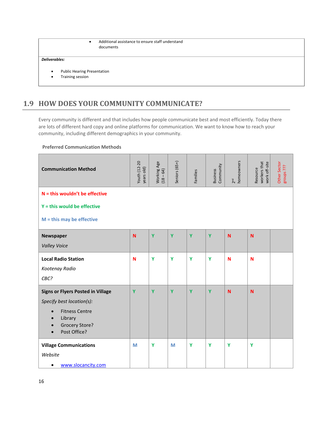```
• Additional assistance to ensure staff understand 
documents
```
#### *Deliverables:*

- Public Hearing Presentation
- <span id="page-21-0"></span>• Training session

# **1.9 HOW DOES YOUR COMMUNITY COMMUNICATE?**

Every community is different and that includes how people communicate best and most efficiently. Today there are lots of different hard copy and online platforms for communication. We want to know how to reach your community, including different demographics in your community.

**Preferred Communication Methods**

| <b>Communication Method</b>                                                                                                                                                  | Youth (12-20<br>years old) | Working Age<br>(18 – 64) | Seniors (65+) | Families | Community<br><b>Business</b> | homeowners<br>2 <sup>nd</sup> | workers that<br>work off-site<br>Resource | Other Sector<br>EL sdnoug |
|------------------------------------------------------------------------------------------------------------------------------------------------------------------------------|----------------------------|--------------------------|---------------|----------|------------------------------|-------------------------------|-------------------------------------------|---------------------------|
| $N =$ this wouldn't be effective<br>$Y =$ this would be effective                                                                                                            |                            |                          |               |          |                              |                               |                                           |                           |
| $M =$ this may be effective                                                                                                                                                  |                            |                          |               |          |                              |                               |                                           |                           |
| Newspaper<br><b>Valley Voice</b>                                                                                                                                             | N                          | Y                        | Y             | Ÿ        | Ÿ                            | N                             | $\mathbf N$                               |                           |
| <b>Local Radio Station</b><br>Kootenay Radio<br>CBC?                                                                                                                         | N                          | Y                        | Y             | Y        | Y                            | N                             | N                                         |                           |
| <b>Signs or Flyers Posted in Village</b><br>Specify best location(s):<br><b>Fitness Centre</b><br>$\bullet$<br>Library<br>$\bullet$<br><b>Grocery Store?</b><br>Post Office? | Y                          | Y                        | Y             | Y        | Y                            | N                             | N                                         |                           |
| <b>Village Communications</b><br>Website<br>www.slocancity.com<br>$\bullet$                                                                                                  | M                          | Y                        | M             | Y        | Y                            | Y                             | Y                                         |                           |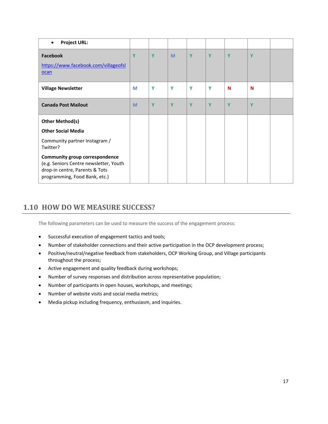| <b>Project URL:</b>                                                                                                                                |   |   |   |   |   |   |   |  |
|----------------------------------------------------------------------------------------------------------------------------------------------------|---|---|---|---|---|---|---|--|
| Facebook<br>https://www.facebook.com/villageofsl<br><b>ocan</b>                                                                                    | Y | Y | M | Y | Ÿ | Y | Y |  |
| <b>Village Newsletter</b>                                                                                                                          | M | Y | Y | Y | Υ | N | N |  |
| <b>Canada Post Mailout</b>                                                                                                                         | M | Y | Y | Y | Ÿ | Y | Y |  |
| <b>Other Method(s)</b><br><b>Other Social Media</b>                                                                                                |   |   |   |   |   |   |   |  |
| Community partner Instagram /<br>Twitter?                                                                                                          |   |   |   |   |   |   |   |  |
| <b>Community group correspondence</b><br>(e.g. Seniors Centre newsletter, Youth<br>drop-in centre, Parents & Tots<br>programming, Food Bank, etc.) |   |   |   |   |   |   |   |  |

### <span id="page-22-0"></span>**1.10 HOW DO WE MEASURE SUCCESS?**

The following parameters can be used to measure the success of the engagement process:

- Successful execution of engagement tactics and tools;
- Number of stakeholder connections and their active participation in the OCP development process;
- Positive/neutral/negative feedback from stakeholders, OCP Working Group, and Village participants throughout the process;
- Active engagement and quality feedback during workshops;
- Number of survey responses and distribution across representative population;
- Number of participants in open houses, workshops, and meetings;
- Number of website visits and social media metrics;
- Media pickup including frequency, enthusiasm, and inquiries.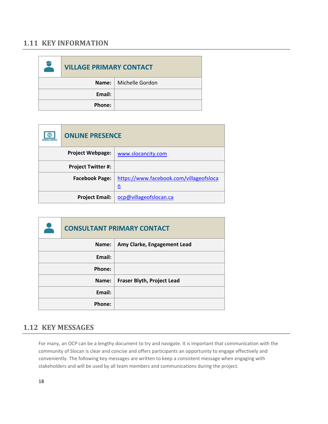#### <span id="page-23-0"></span>**1.11 KEY INFORMATION**

| $\leftrightarrow$ | <b>VILLAGE PRIMARY CONTACT</b> |                         |  |  |  |
|-------------------|--------------------------------|-------------------------|--|--|--|
|                   |                                | Name:   Michelle Gordon |  |  |  |
|                   | Email:                         |                         |  |  |  |
|                   | Phone:                         |                         |  |  |  |

| ⊕ | <b>ONLINE PRESENCE</b>    |                                              |
|---|---------------------------|----------------------------------------------|
|   | <b>Project Webpage:</b>   | www.slocancity.com                           |
|   | <b>Project Twitter #:</b> |                                              |
|   | <b>Facebook Page:</b>     | https://www.facebook.com/villageofsloca<br>n |
|   | <b>Project Email:</b>     | ocp@villageofslocan.ca                       |

| <b>CONSULTANT PRIMARY CONTACT</b> |                                   |
|-----------------------------------|-----------------------------------|
| Name:                             | Amy Clarke, Engagement Lead       |
| Email:                            |                                   |
| Phone:                            |                                   |
| Name:                             | <b>Fraser Blyth, Project Lead</b> |
| Email:                            |                                   |
| Phone:                            |                                   |

# <span id="page-23-1"></span>**1.12 KEY MESSAGES**

For many, an OCP can be a lengthy document to try and navigate. It is important that communication with the community of Slocan is clear and concise and offers participants an opportunity to engage effectively and conveniently. The following key messages are written to keep a consistent message when engaging with stakeholders and will be used by all team members and communications during the project.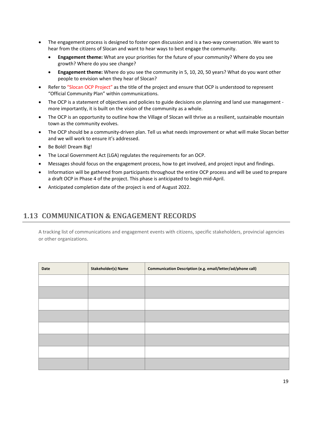- The engagement process is designed to foster open discussion and is a two-way conversation. We want to hear from the citizens of Slocan and want to hear ways to best engage the community.
	- **Engagement theme:** What are your priorities for the future of your community? Where do you see growth? Where do you see change?
	- **Engagement theme:** Where do you see the community in 5, 10, 20, 50 years? What do you want other people to envision when they hear of Slocan?
- Refer to "Slocan OCP Project" as the title of the project and ensure that OCP is understood to represent "Official Community Plan" within communications.
- The OCP is a statement of objectives and policies to guide decisions on planning and land use management more importantly, it is built on the vision of the community as a whole.
- The OCP is an opportunity to outline how the Village of Slocan will thrive as a resilient, sustainable mountain town as the community evolves.
- The OCP should be a community-driven plan. Tell us what needs improvement or what will make Slocan better and we will work to ensure it's addressed.
- Be Bold! Dream Big!
- The Local Government Act (LGA) regulates the requirements for an OCP.
- Messages should focus on the engagement process, how to get involved, and project input and findings.
- Information will be gathered from participants throughout the entire OCP process and will be used to prepare a draft OCP in Phase 4 of the project. This phase is anticipated to begin mid-April.
- Anticipated completion date of the project is end of August 2022.

#### <span id="page-24-0"></span>**1.13 COMMUNICATION & ENGAGEMENT RECORDS**

A tracking list of communications and engagement events with citizens, specific stakeholders, provincial agencies or other organizations.

| Date | <b>Stakeholder(s) Name</b> | Communication Description (e.g. email/letter/ad/phone call) |
|------|----------------------------|-------------------------------------------------------------|
|      |                            |                                                             |
|      |                            |                                                             |
|      |                            |                                                             |
|      |                            |                                                             |
|      |                            |                                                             |
|      |                            |                                                             |
|      |                            |                                                             |
|      |                            |                                                             |